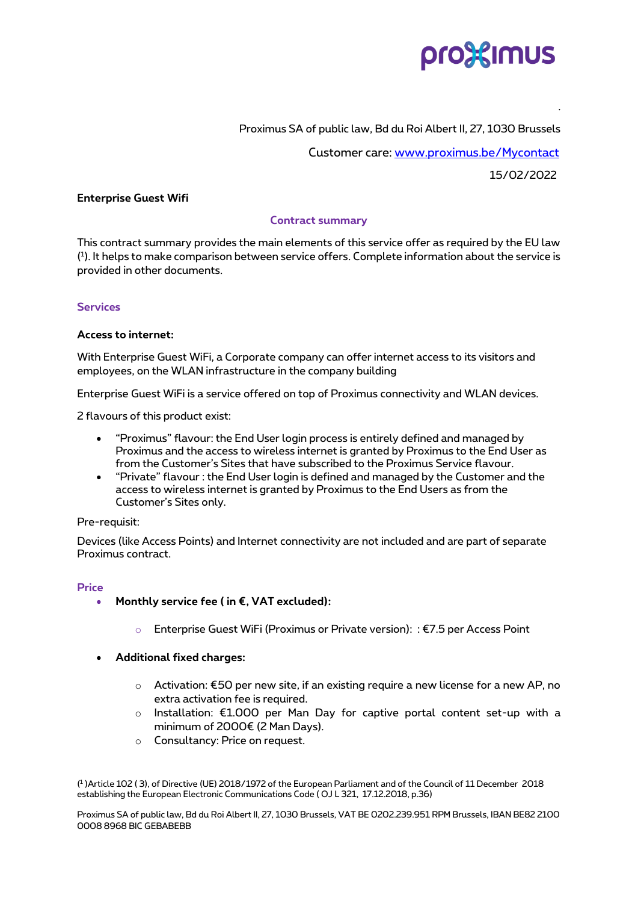

# Proximus SA of public law, Bd du Roi Albert II, 27, 1030 Brussels

Customer care: [www.proximus.be/Mycontact](http://www.proximus.be/Mycontact)

15/02/2022

.

# **Enterprise Guest Wifi**

# **Contract summary**

This contract summary provides the main elements of this service offer as required by the EU law ( 1 ). It helps to make comparison between service offers. Complete information about the service is provided in other documents.

# **Services**

# **Access to internet:**

With Enterprise Guest WiFi, a Corporate company can offer internet access to its visitors and employees, on the WLAN infrastructure in the company building

Enterprise Guest WiFi is a service offered on top of Proximus connectivity and WLAN devices.

2 flavours of this product exist:

- "Proximus" flavour: the End User login process is entirely defined and managed by Proximus and the access to wireless internet is granted by Proximus to the End User as from the Customer's Sites that have subscribed to the Proximus Service flavour.
- "Private" flavour : the End User login is defined and managed by the Customer and the access to wireless internet is granted by Proximus to the End Users as from the Customer's Sites only.

#### Pre-requisit:

Devices (like Access Points) and Internet connectivity are not included and are part of separate Proximus contract.

#### **Price**

- **Monthly service fee ( in €, VAT excluded):**
	- o Enterprise Guest WiFi (Proximus or Private version): : €7.5 per Access Point
- **Additional fixed charges:** 
	- o Activation: €50 per new site, if an existing require a new license for a new AP, no extra activation fee is required.
	- o Installation: €1.000 per Man Day for captive portal content set-up with a minimum of 2000€ (2 Man Days).
	- o Consultancy: Price on request.

( 1 )Article 102 ( 3), of Directive (UE) 2018/1972 of the European Parliament and of the Council of 11 December 2018 establishing the European Electronic Communications Code ( OJ L 321, 17.12.2018, p.36)

Proximus SA of public law, Bd du Roi Albert II, 27, 1030 Brussels, VAT BE 0202.239.951 RPM Brussels, IBAN BE82 2100 0008 8968 BIC GEBABEBB